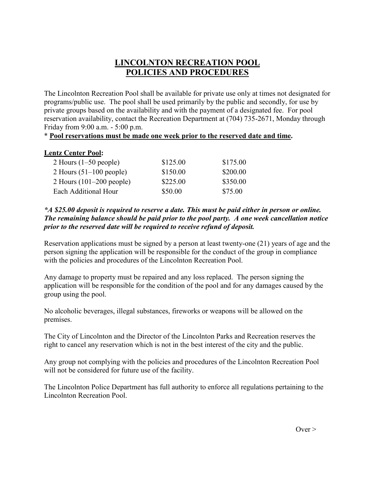## **LINCOLNTON RECREATION POOL POLICIES AND PROCEDURES**

The Lincolnton Recreation Pool shall be available for private use only at times not designated for programs/public use. The pool shall be used primarily by the public and secondly, for use by private groups based on the availability and with the payment of a designated fee. For pool reservation availability, contact the Recreation Department at (704) 735-2671, Monday through Friday from 9:00 a.m. - 5:00 p.m.

## \* **Pool reservations must be made one week prior to the reserved date and time.**

## **Lentz Center Pool:**

| 2 Hours $(1-50$ people)    | \$125.00 | \$175.00 |
|----------------------------|----------|----------|
| 2 Hours $(51-100$ people)  | \$150.00 | \$200.00 |
| 2 Hours $(101-200$ people) | \$225.00 | \$350.00 |
| Each Additional Hour       | \$50.00  | \$75.00  |

## *\*A \$25.00 deposit is required to reserve a date. This must be paid either in person or online. The remaining balance should be paid prior to the pool party. A one week cancellation notice prior to the reserved date will be required to receive refund of deposit.*

Reservation applications must be signed by a person at least twenty-one (21) years of age and the person signing the application will be responsible for the conduct of the group in compliance with the policies and procedures of the Lincolnton Recreation Pool.

Any damage to property must be repaired and any loss replaced. The person signing the application will be responsible for the condition of the pool and for any damages caused by the group using the pool.

No alcoholic beverages, illegal substances, fireworks or weapons will be allowed on the premises.

The City of Lincolnton and the Director of the Lincolnton Parks and Recreation reserves the right to cancel any reservation which is not in the best interest of the city and the public.

Any group not complying with the policies and procedures of the Lincolnton Recreation Pool will not be considered for future use of the facility.

The Lincolnton Police Department has full authority to enforce all regulations pertaining to the Lincolnton Recreation Pool.